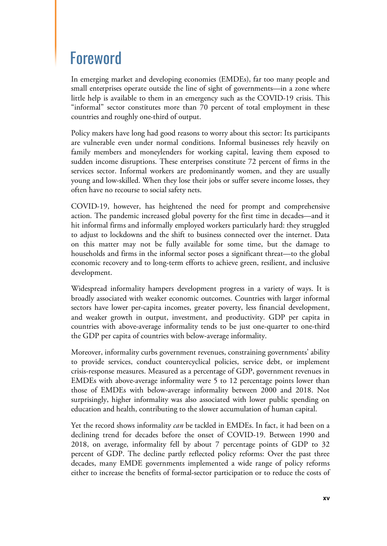## Foreword

In emerging market and developing economies (EMDEs), far too many people and small enterprises operate outside the line of sight of governments—in a zone where little help is available to them in an emergency such as the COVID-19 crisis. This "informal" sector constitutes more than 70 percent of total employment in these countries and roughly one-third of output.

Policy makers have long had good reasons to worry about this sector: Its participants are vulnerable even under normal conditions. Informal businesses rely heavily on family members and moneylenders for working capital, leaving them exposed to sudden income disruptions. These enterprises constitute 72 percent of firms in the services sector. Informal workers are predominantly women, and they are usually young and low-skilled. When they lose their jobs or suffer severe income losses, they often have no recourse to social safety nets.

COVID-19, however, has heightened the need for prompt and comprehensive action. The pandemic increased global poverty for the first time in decades—and it hit informal firms and informally employed workers particularly hard: they struggled to adjust to lockdowns and the shift to business connected over the internet. Data on this matter may not be fully available for some time, but the damage to households and firms in the informal sector poses a significant threat—to the global economic recovery and to long-term efforts to achieve green, resilient, and inclusive development.

Widespread informality hampers development progress in a variety of ways. It is broadly associated with weaker economic outcomes. Countries with larger informal sectors have lower per-capita incomes, greater poverty, less financial development, and weaker growth in output, investment, and productivity. GDP per capita in countries with above-average informality tends to be just one-quarter to one-third the GDP per capita of countries with below-average informality.

Moreover, informality curbs government revenues, constraining governments' ability to provide services, conduct countercyclical policies, service debt, or implement crisis-response measures. Measured as a percentage of GDP, government revenues in EMDEs with above-average informality were 5 to 12 percentage points lower than those of EMDEs with below-average informality between 2000 and 2018. Not surprisingly, higher informality was also associated with lower public spending on education and health, contributing to the slower accumulation of human capital.

Yet the record shows informality *can* be tackled in EMDEs. In fact, it had been on a declining trend for decades before the onset of COVID-19. Between 1990 and 2018, on average, informality fell by about 7 percentage points of GDP to 32 percent of GDP. The decline partly reflected policy reforms: Over the past three decades, many EMDE governments implemented a wide range of policy reforms either to increase the benefits of formal-sector participation or to reduce the costs of